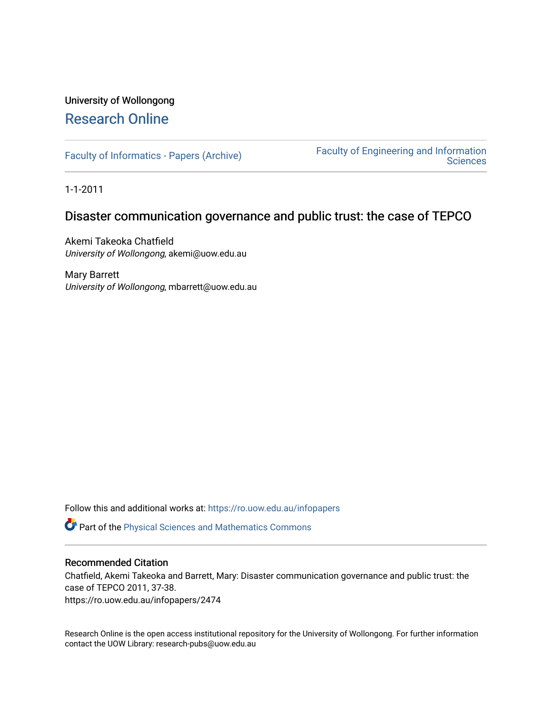# University of Wollongong [Research Online](https://ro.uow.edu.au/)

[Faculty of Informatics - Papers \(Archive\)](https://ro.uow.edu.au/infopapers) [Faculty of Engineering and Information](https://ro.uow.edu.au/eis)  **Sciences** 

1-1-2011

### Disaster communication governance and public trust: the case of TEPCO

Akemi Takeoka Chatfield University of Wollongong, akemi@uow.edu.au

Mary Barrett University of Wollongong, mbarrett@uow.edu.au

Follow this and additional works at: [https://ro.uow.edu.au/infopapers](https://ro.uow.edu.au/infopapers?utm_source=ro.uow.edu.au%2Finfopapers%2F2474&utm_medium=PDF&utm_campaign=PDFCoverPages)

Part of the [Physical Sciences and Mathematics Commons](http://network.bepress.com/hgg/discipline/114?utm_source=ro.uow.edu.au%2Finfopapers%2F2474&utm_medium=PDF&utm_campaign=PDFCoverPages) 

#### Recommended Citation

Chatfield, Akemi Takeoka and Barrett, Mary: Disaster communication governance and public trust: the case of TEPCO 2011, 37-38. https://ro.uow.edu.au/infopapers/2474

Research Online is the open access institutional repository for the University of Wollongong. For further information contact the UOW Library: research-pubs@uow.edu.au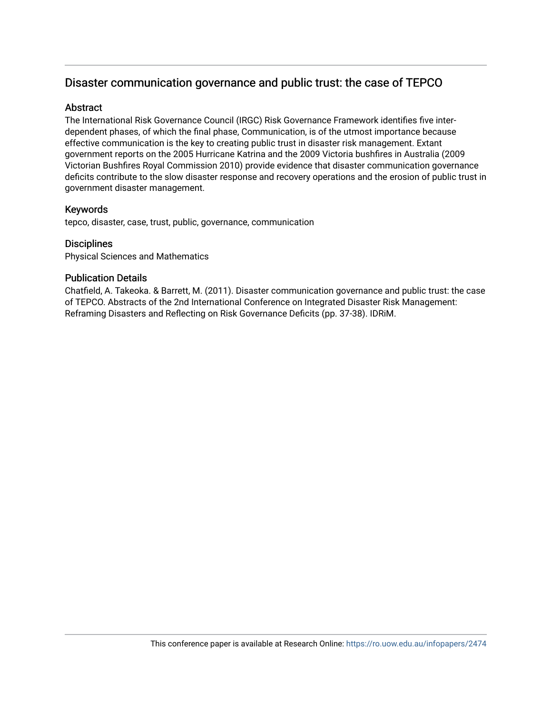## Disaster communication governance and public trust: the case of TEPCO

#### Abstract

The International Risk Governance Council (IRGC) Risk Governance Framework identifies five interdependent phases, of which the final phase, Communication, is of the utmost importance because effective communication is the key to creating public trust in disaster risk management. Extant government reports on the 2005 Hurricane Katrina and the 2009 Victoria bushfires in Australia (2009 Victorian Bushfires Royal Commission 2010) provide evidence that disaster communication governance deficits contribute to the slow disaster response and recovery operations and the erosion of public trust in government disaster management.

#### Keywords

tepco, disaster, case, trust, public, governance, communication

#### **Disciplines**

Physical Sciences and Mathematics

#### Publication Details

Chatfield, A. Takeoka. & Barrett, M. (2011). Disaster communication governance and public trust: the case of TEPCO. Abstracts of the 2nd International Conference on Integrated Disaster Risk Management: Reframing Disasters and Reflecting on Risk Governance Deficits (pp. 37-38). IDRiM.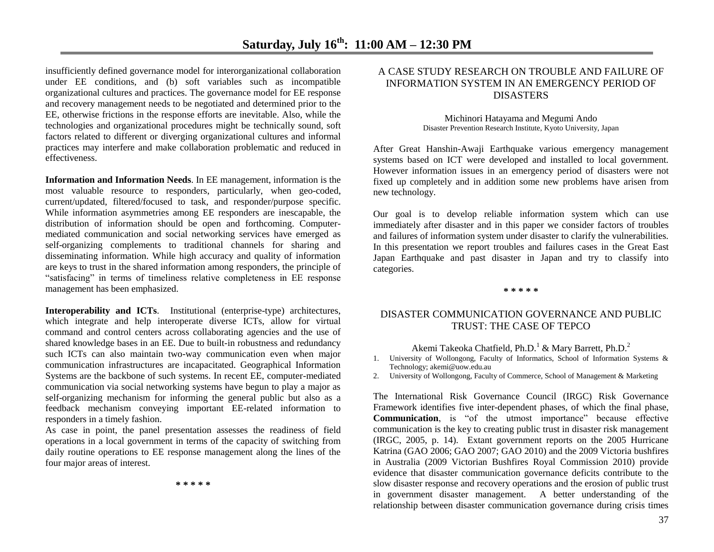insufficiently defined governance model for interorganizational collaboration under EE conditions, and (b) soft variables such as incompatible organizational cultures and practices. The governance model for EE response and recovery management needs to be negotiated and determined prior to the EE, otherwise frictions in the response efforts are inevitable. Also, while the technologies and organizational procedures might be technically sound, soft factors related to different or diverging organizational cultures and informal practices may interfere and make collaboration problematic and reduced in effectiveness.

**Information and Information Needs**. In EE management, information is the most valuable resource to responders, particularly, when geo-coded, current/updated, filtered/focused to task, and responder/purpose specific. While information asymmetries among EE responders are inescapable, the distribution of information should be open and forthcoming. Computermediated communication and social networking services have emerged as self-organizing complements to traditional channels for sharing and disseminating information. While high accuracy and quality of information are keys to trust in the shared information among responders, the principle of "satisfacing" in terms of timeliness relative completeness in EE response management has been emphasized.

**Interoperability and ICTs**. Institutional (enterprise-type) architectures, which integrate and help interoperate diverse ICTs, allow for virtual command and control centers across collaborating agencies and the use of shared knowledge bases in an EE. Due to built-in robustness and redundancy such ICTs can also maintain two-way communication even when major communication infrastructures are incapacitated. Geographical Information Systems are the backbone of such systems. In recent EE, computer-mediated communication via social networking systems have begun to play a major as self-organizing mechanism for informing the general public but also as a feedback mechanism conveying important EE-related information to responders in a timely fashion.

As case in point, the panel presentation assesses the readiness of field operations in a local government in terms of the capacity of switching from daily routine operations to EE response management along the lines of the four major areas of interest.

**\* \* \* \* \***

#### A CASE STUDY RESEARCH ON TROUBLE AND FAILURE OF INFORMATION SYSTEM IN AN EMERGENCY PERIOD OF **DISASTERS**

Michinori Hatayama and Megumi Ando Disaster Prevention Research Institute, Kyoto University, Japan

After Great Hanshin-Awaji Earthquake various emergency management systems based on ICT were developed and installed to local government. However information issues in an emergency period of disasters were not fixed up completely and in addition some new problems have arisen from new technology.

Our goal is to develop reliable information system which can use immediately after disaster and in this paper we consider factors of troubles and failures of information system under disaster to clarify the vulnerabilities. In this presentation we report troubles and failures cases in the Great East Japan Earthquake and past disaster in Japan and try to classify into categories.

**\* \* \* \* \***

#### DISASTER COMMUNICATION GOVERNANCE AND PUBLIC TRUST: THE CASE OF TEPCO

#### Akemi Takeoka Chatfield, Ph.D.<sup>1</sup> & Mary Barrett, Ph.D.<sup>2</sup>

1. University of Wollongong, Faculty of Informatics, School of Information Systems & Technology; akemi@uow.edu.au

2. University of Wollongong, Faculty of Commerce, School of Management & Marketing

The International Risk Governance Council (IRGC) Risk Governance Framework identifies five inter-dependent phases, of which the final phase, **Communication**, is "of the utmost importance" because effective communication is the key to creating public trust in disaster risk management (IRGC, 2005, p. 14). Extant government reports on the 2005 Hurricane Katrina (GAO 2006; GAO 2007; GAO 2010) and the 2009 Victoria bushfires in Australia (2009 Victorian Bushfires Royal Commission 2010) provide evidence that disaster communication governance deficits contribute to the slow disaster response and recovery operations and the erosion of public trust in government disaster management. A better understanding of the relationship between disaster communication governance during crisis times